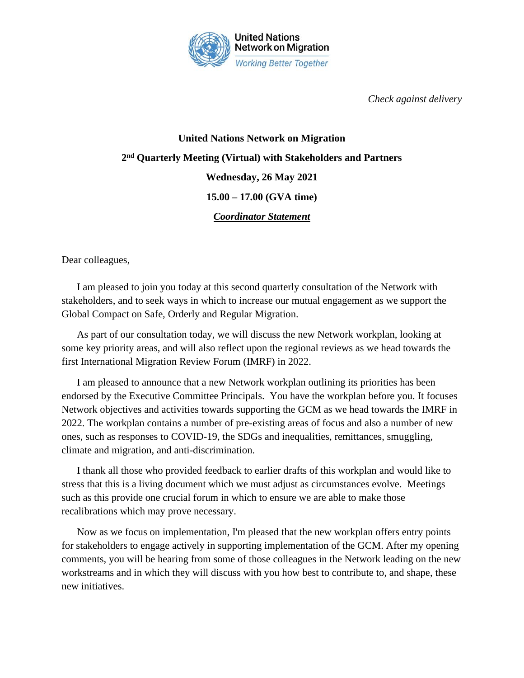

*Check against delivery*

## **United Nations Network on Migration 2 nd Quarterly Meeting (Virtual) with Stakeholders and Partners Wednesday, 26 May 2021 15.00 – 17.00 (GVA time)** *Coordinator Statement*

Dear colleagues,

I am pleased to join you today at this second quarterly consultation of the Network with stakeholders, and to seek ways in which to increase our mutual engagement as we support the Global Compact on Safe, Orderly and Regular Migration.

As part of our consultation today, we will discuss the new Network workplan, looking at some key priority areas, and will also reflect upon the regional reviews as we head towards the first International Migration Review Forum (IMRF) in 2022.

I am pleased to announce that a new Network workplan outlining its priorities has been endorsed by the Executive Committee Principals. You have the workplan before you. It focuses Network objectives and activities towards supporting the GCM as we head towards the IMRF in 2022. The workplan contains a number of pre-existing areas of focus and also a number of new ones, such as responses to COVID-19, the SDGs and inequalities, remittances, smuggling, climate and migration, and anti-discrimination.

I thank all those who provided feedback to earlier drafts of this workplan and would like to stress that this is a living document which we must adjust as circumstances evolve. Meetings such as this provide one crucial forum in which to ensure we are able to make those recalibrations which may prove necessary.

Now as we focus on implementation, I'm pleased that the new workplan offers entry points for stakeholders to engage actively in supporting implementation of the GCM. After my opening comments, you will be hearing from some of those colleagues in the Network leading on the new workstreams and in which they will discuss with you how best to contribute to, and shape, these new initiatives.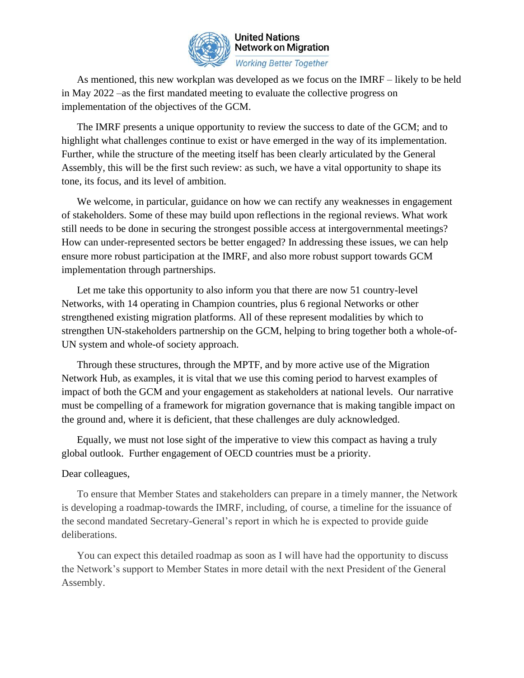

## **United Nations Network on Migration Working Better Together**

As mentioned, this new workplan was developed as we focus on the IMRF – likely to be held in May 2022 –as the first mandated meeting to evaluate the collective progress on implementation of the objectives of the GCM.

The IMRF presents a unique opportunity to review the success to date of the GCM; and to highlight what challenges continue to exist or have emerged in the way of its implementation. Further, while the structure of the meeting itself has been clearly articulated by the General Assembly, this will be the first such review: as such, we have a vital opportunity to shape its tone, its focus, and its level of ambition.

We welcome, in particular, guidance on how we can rectify any weaknesses in engagement of stakeholders. Some of these may build upon reflections in the regional reviews. What work still needs to be done in securing the strongest possible access at intergovernmental meetings? How can under-represented sectors be better engaged? In addressing these issues, we can help ensure more robust participation at the IMRF, and also more robust support towards GCM implementation through partnerships.

Let me take this opportunity to also inform you that there are now 51 country-level Networks, with 14 operating in Champion countries, plus 6 regional Networks or other strengthened existing migration platforms. All of these represent modalities by which to strengthen UN-stakeholders partnership on the GCM, helping to bring together both a whole-of-UN system and whole-of society approach.

Through these structures, through the MPTF, and by more active use of the Migration Network Hub, as examples, it is vital that we use this coming period to harvest examples of impact of both the GCM and your engagement as stakeholders at national levels. Our narrative must be compelling of a framework for migration governance that is making tangible impact on the ground and, where it is deficient, that these challenges are duly acknowledged.

Equally, we must not lose sight of the imperative to view this compact as having a truly global outlook. Further engagement of OECD countries must be a priority.

## Dear colleagues,

To ensure that Member States and stakeholders can prepare in a timely manner, the Network is developing a roadmap-towards the IMRF, including, of course, a timeline for the issuance of the second mandated Secretary-General's report in which he is expected to provide guide deliberations.

You can expect this detailed roadmap as soon as I will have had the opportunity to discuss the Network's support to Member States in more detail with the next President of the General Assembly.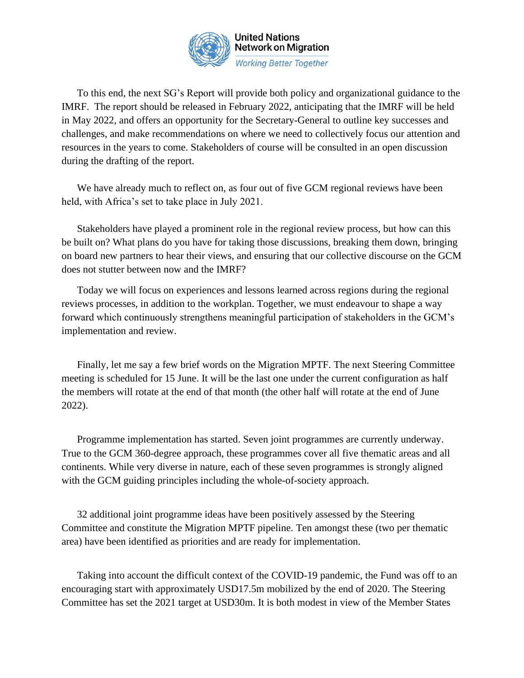

To this end, the next SG's Report will provide both policy and organizational guidance to the IMRF. The report should be released in February 2022, anticipating that the IMRF will be held in May 2022, and offers an opportunity for the Secretary-General to outline key successes and challenges, and make recommendations on where we need to collectively focus our attention and resources in the years to come. Stakeholders of course will be consulted in an open discussion during the drafting of the report.

We have already much to reflect on, as four out of five GCM regional reviews have been held, with Africa's set to take place in July 2021.

Stakeholders have played a prominent role in the regional review process, but how can this be built on? What plans do you have for taking those discussions, breaking them down, bringing on board new partners to hear their views, and ensuring that our collective discourse on the GCM does not stutter between now and the IMRF?

Today we will focus on experiences and lessons learned across regions during the regional reviews processes, in addition to the workplan. Together, we must endeavour to shape a way forward which continuously strengthens meaningful participation of stakeholders in the GCM's implementation and review.

Finally, let me say a few brief words on the Migration MPTF. The next Steering Committee meeting is scheduled for 15 June. It will be the last one under the current configuration as half the members will rotate at the end of that month (the other half will rotate at the end of June 2022).

Programme implementation has started. Seven joint programmes are currently underway. True to the GCM 360-degree approach, these programmes cover all five thematic areas and all continents. While very diverse in nature, each of these seven programmes is strongly aligned with the GCM guiding principles including the whole-of-society approach.

32 additional joint programme ideas have been positively assessed by the Steering Committee and constitute the Migration MPTF pipeline. Ten amongst these (two per thematic area) have been identified as priorities and are ready for implementation.

Taking into account the difficult context of the COVID-19 pandemic, the Fund was off to an encouraging start with approximately USD17.5m mobilized by the end of 2020. The Steering Committee has set the 2021 target at USD30m. It is both modest in view of the Member States